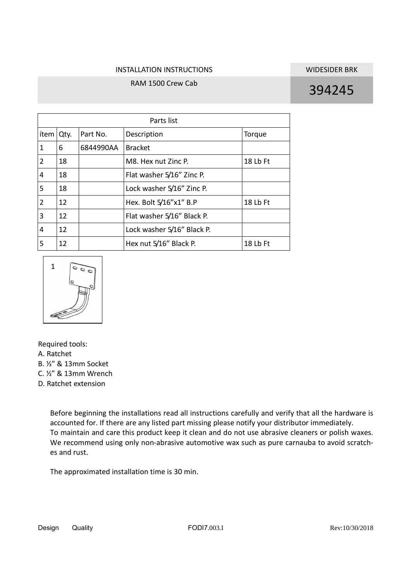## INSTALLATION INSTRUCTIONS WIDESIDER BRK

## RAM 1500 Crew Cab 394245

| Parts list     |      |           |                            |          |
|----------------|------|-----------|----------------------------|----------|
| ítem l         | Qty. | Part No.  | Description                | Torque   |
| $\mathbf{1}$   | 6    | 6844990AA | <b>Bracket</b>             |          |
| $\overline{2}$ | 18   |           | M8. Hex nut Zinc P.        | 18 Lb Ft |
| 4              | 18   |           | Flat washer 5/16" Zinc P.  |          |
| 5              | 18   |           | Lock washer 5/16" Zinc P.  |          |
| $\overline{2}$ | 12   |           | Hex. Bolt 5/16"x1" B.P     | 18 Lb Ft |
| 3              | 12   |           | Flat washer 5/16" Black P. |          |
| 4              | 12   |           | Lock washer 5/16" Black P. |          |
| 5              | 12   |           | Hex nut 5/16" Black P.     | 18 Lb Ft |



Required tools:

A. Ratchet

B. ½" & 13mm Socket

C. ½" & 13mm Wrench

D. Ratchet extension

Before beginning the installations read all instructions carefully and verify that all the hardware is accounted for. If there are any listed part missing please notify your distributor immediately. To maintain and care this product keep it clean and do not use abrasive cleaners or polish waxes. We recommend using only non-abrasive automotive wax such as pure carnauba to avoid scratches and rust.

The approximated installation time is 30 min.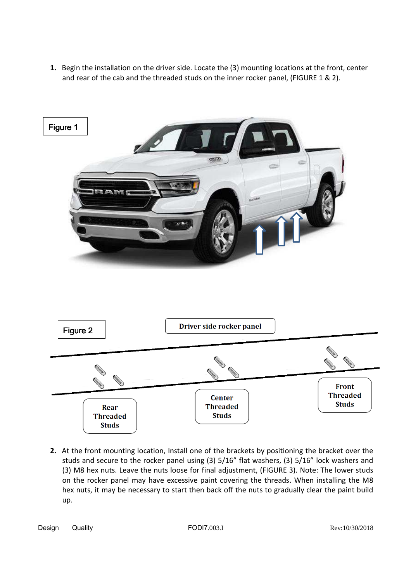**1.** Begin the installation on the driver side. Locate the (3) mounting locations at the front, center and rear of the cab and the threaded studs on the inner rocker panel, (FIGURE 1 & 2).



**2.** At the front mounting location, Install one of the brackets by positioning the bracket over the studs and secure to the rocker panel using (3) 5/16" flat washers, (3) 5/16" lock washers and (3) M8 hex nuts. Leave the nuts loose for final adjustment, (FIGURE 3). Note: The lower studs on the rocker panel may have excessive paint covering the threads. When installing the M8 hex nuts, it may be necessary to start then back off the nuts to gradually clear the paint build up.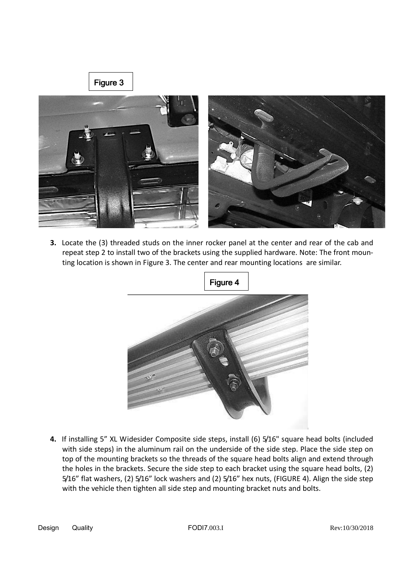

**3.** Locate the (3) threaded studs on the inner rocker panel at the center and rear of the cab and repeat step 2 to install two of the brackets using the supplied hardware. Note: The front mounting location is shown in Figure 3. The center and rear mounting locations are similar.



**4.** If installing 5" XL Widesider Composite side steps, install (6) 5/16" square head bolts (included with side steps) in the aluminum rail on the underside of the side step. Place the side step on top of the mounting brackets so the threads of the square head bolts align and extend through the holes in the brackets. Secure the side step to each bracket using the square head bolts, (2) 5/16" flat washers, (2) 5/16" lock washers and (2) 5/16" hex nuts, (FIGURE 4). Align the side step with the vehicle then tighten all side step and mounting bracket nuts and bolts.